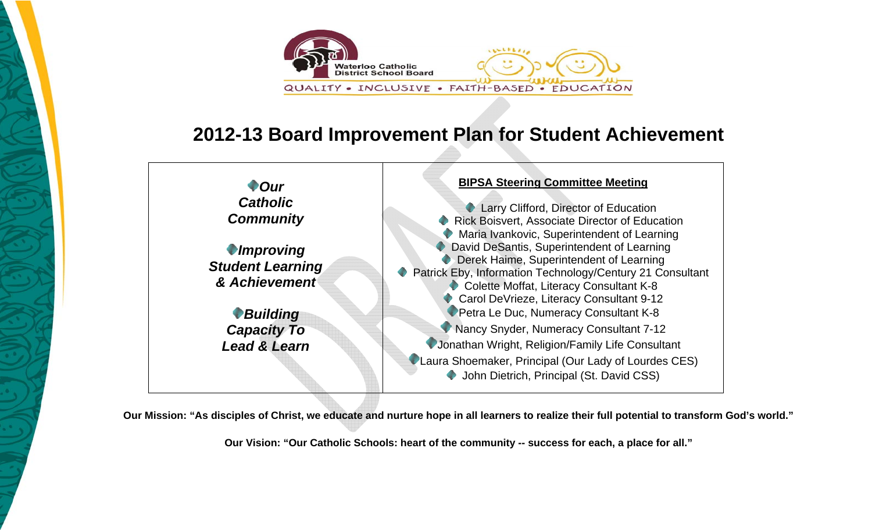

# **2012-13 Board Improvement Plan for Student Achievement**



**Our Mission: "As disciples of Christ, we educate and nurture hope in all learners to realize their full potential to transform God's world."** 

**Our Vision: "Our Catholic Schools: heart of the community -- success for each, a place for all."**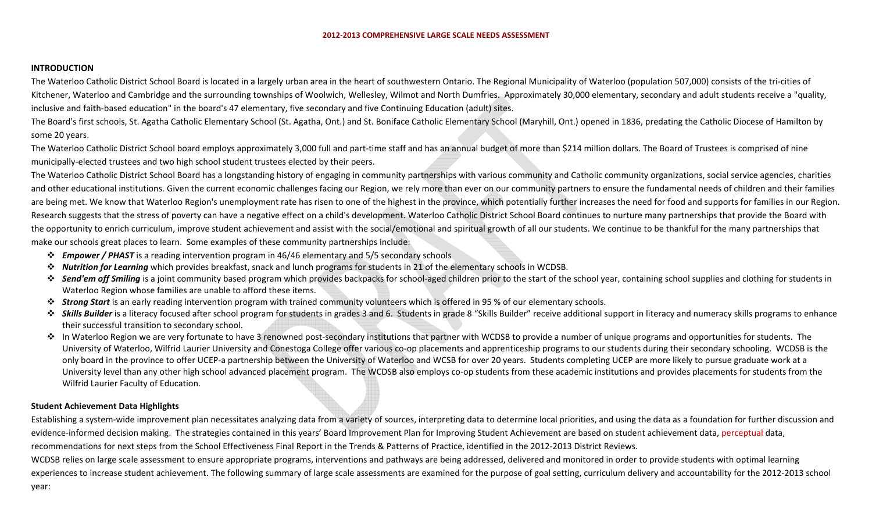#### **2012‐2013 COMPREHENSIVE LARGE SCALE NEEDS ASSESSMENT**

#### **INTRODUCTION**

The Waterloo Catholic District School Board is located in <sup>a</sup> largely urban area in the heart of southwestern Ontario. The Regional Municipality of Waterloo (population 507,000) consists of the tri‐cities of Kitchener, Waterloo and Cambridge and the surrounding townships of Woolwich, Wellesley, Wilmot and North Dumfries. Approximately 30,000 elementary, secondary and adult students receive <sup>a</sup> "quality, inclusive and faith‐based education" in the board's 47 elementary, five secondary and five Continuing Education (adult) sites.

The Board's first schools, St. Agatha Catholic Elementary School (St. Agatha, Ont.) and St. Boniface Catholic Elementary School (Maryhill, Ont.) opened in 1836, predating the Catholic Diocese of Hamilton by some 20 years.

The Waterloo Catholic District School board employs approximately 3,000 full and part-time staff and has an annual budget of more than \$214 million dollars. The Board of Trustees is comprised of nine municipally‐elected trustees and two high school student trustees elected by their peers.

The Waterloo Catholic District School Board has a longstanding history of engaging in community partnerships with various community and Catholic community organizations, social service agencies, charities and other educational institutions. Given the current economic challenges facing our Region, we rely more than ever on our community partners to ensure the fundamental needs of children and their families are being met. We know that Waterloo Region's unemployment rate has risen to one of the highest in the province, which potentially further increases the need for food and supports for families in our Region. Research suggests that the stress of poverty can have a negative effect on a child's development. Waterloo Catholic District School Board continues to nurture many partnerships that provide the Board with the opportunity to enrich curriculum, improve student achievement and assist with the social/emotional and spiritual growth of all our students. We continue to be thankful for the many partnerships that make our schools great places to learn. Some examples of these community partnerships include:

- *Empower / PHAST* is <sup>a</sup> reading intervention program in 46/46 elementary and 5/5 secondary schools
- *Nutrition for Learning* which provides breakfast, snack and lunch programs for students in 21 of the elementary schools in WCDSB.
- **\*** Send'em off Smiling is a joint community based program which provides backpacks for school–aged children prior to the start of the school year, containing school supplies and clothing for students in Waterloo Region whose families are unable to afford these items.
- *Strong Start* is an early reading intervention program with trained community volunteers which is offered in 95 % of our elementary schools.
- **\*** Skills Builder is a literacy focused after school program for students in grades 3 and 6. Students in grade 8 "Skills Builder" receive additional support in literacy and numeracy skills programs to enhance their successful transition to secondary school.
- \* In Waterloo Region we are very fortunate to have 3 renowned post-secondary institutions that partner with WCDSB to provide a number of unique programs and opportunities for students. The University of Waterloo, Wilfrid Laurier University and Conestoga College offer various co‐op placements and apprenticeship programs to our students during their secondary schooling. WCDSB is the only board in the province to offer UCEP‐<sup>a</sup> partnership between the University of Waterloo and WCSB for over 20 years. Students completing UCEP are more likely to pursue graduate work at <sup>a</sup> University level than any other high school advanced placement program. The WCDSB also employs co-op students from these academic institutions and provides placements for students from the Wilfrid Laurier Faculty of Education.

#### **Student Achievement Data Highlights**

Establishing a system-wide improvement plan necessitates analyzing data from a variety of sources, interpreting data to determine local priorities, and using the data as a foundation for further discussion and evidence-informed decision making. The strategies contained in this years' Board Improvement Plan for Improving Student Achievement are based on student achievement data, perceptual data, recommendations for next steps from the School Effectiveness Final Report in the Trends & Patterns of Practice, identified in the 2012‐2013 District Reviews.

WCDSB relies on large scale assessment to ensure appropriate programs, interventions and pathways are being addressed, delivered and monitored in order to provide students with optimal learning experiences to increase student achievement. The following summary of large scale assessments are examined for the purpose of goal setting, curriculum delivery and accountability for the 2012‐2013 school year: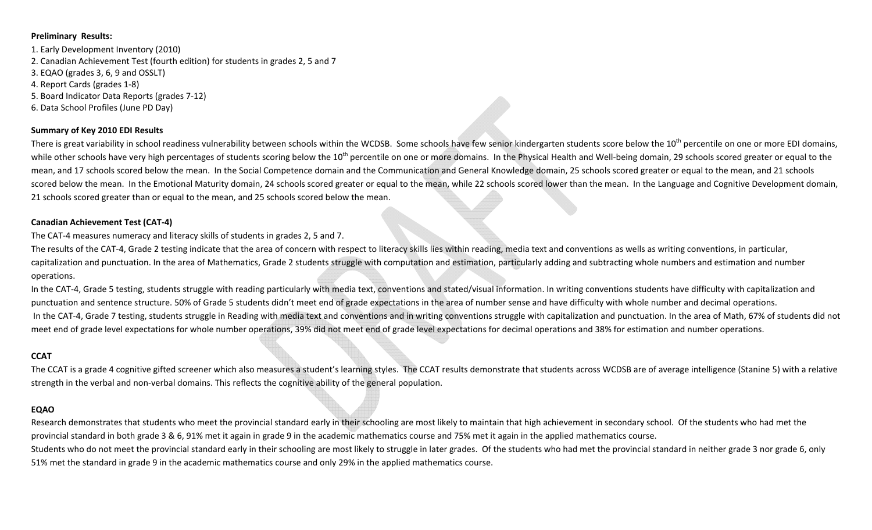#### **Preliminary Results:**

1. Early Development Inventory (2010) 2. Canadian Achievement Test (fourth edition) for students in grades 2, 5 and 7 3. EQAO (grades 3, 6, 9 and OSSLT) 4. Report Cards (grades 1‐8) 5. Board Indicator Data Reports (grades 7‐12) 6. Data School Profiles (June PD Day)

## **Summary of Key 2010 EDI Results**

There is great variability in school readiness vulnerability between schools within the WCDSB. Some schools have few senior kindergarten students score below the 10<sup>th</sup> percentile on one or more EDI domains, while other schools have very high percentages of students scoring below the 10<sup>th</sup> percentile on one or more domains. In the Physical Health and Well-being domain, 29 schools scored greater or equal to the mean, and 17 schools scored below the mean. In the Social Competence domain and the Communication and General Knowledge domain, 25 schools scored greater or equal to the mean, and 21 schools scored below the mean. In the Emotional Maturity domain, 24 schools scored greater or equal to the mean, while 22 schools scored lower than the mean. In the Language and Cognitive Development domain, 21 schools scored greater than or equal to the mean, and 25 schools scored below the mean.

## **Canadian Achievement Test (CAT‐4)**

The CAT‐4 measures numeracy and literacy skills of students in grades 2, 5 and 7.

The results of the CAT‐4, Grade 2 testing indicate that the area of concern with respect to literacy skills lies within reading, media text and conventions as wells as writing conventions, in particular, capitalization and punctuation. In the area of Mathematics, Grade 2 students struggle with computation and estimation, particularly adding and subtracting whole numbers and estimation and number operations.

In the CAT-4, Grade 5 testing, students struggle with reading particularly with media text, conventions and stated/visual information. In writing conventions students have difficulty with capitalization and punctuation and sentence structure. 50% of Grade 5 students didn't meet end of grade expectations in the area of number sense and have difficulty with whole number and decimal operations. In the CAT-4, Grade 7 testing, students struggle in Reading with media text and conventions and in writing conventions struggle with capitalization and punctuation. In the area of Math, 67% of students did not meet end of grade level expectations for whole number operations, 39% did not meet end of grade level expectations for decimal operations and 38% for estimation and number operations.

## **CCAT**

The CCAT is <sup>a</sup> grade 4 cognitive gifted screener which also measures <sup>a</sup> student's learning styles. The CCAT results demonstrate that students across WCDSB are of average intelligence (Stanine 5) with <sup>a</sup> relative strength in the verbal and non‐verbal domains. This reflects the cognitive ability of the general population.

#### **EQAO**

Research demonstrates that students who meet the provincial standard early in their schooling are most likely to maintain that high achievement in secondary school. Of the students who had met the provincial standard in both grade 3 & 6, 91% met it again in grade 9 in the academic mathematics course and 75% met it again in the applied mathematics course. Students who do not meet the provincial standard early in their schooling are most likely to struggle in later grades. Of the students who had met the provincial standard in neither grade 3 nor grade 6, only 51% met the standard in grade 9 in the academic mathematics course and only 29% in the applied mathematics course.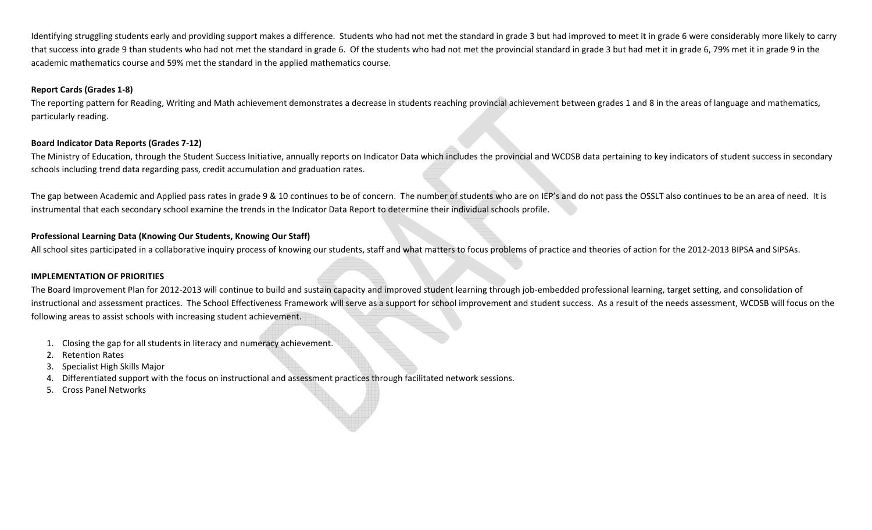Identifying struggling students early and providing support makes <sup>a</sup> difference. Students who had not met the standard in grade 3 but had improved to meet it in grade 6 were considerably more likely to carry that success into grade 9 than students who had not met the standard in grade 6. Of the students who had not met the provincial standard in grade 3 but had met it in grade 6, 79% met it in grade 9 in the academic mathematics course and 59% met the standard in the applied mathematics course.

## **Report Cards (Grades 1‐8)**

The reporting pattern for Reading, Writing and Math achievement demonstrates <sup>a</sup> decrease in students reaching provincial achievement between grades 1 and 8 in the areas of language and mathematics, particularly reading.

#### **Board Indicator Data Reports (Grades 7‐12)**

The Ministry of Education, through the Student Success Initiative, annually reports on Indicator Data which includes the provincial and WCDSB data pertaining to key indicators of student success in secondary schools including trend data regarding pass, credit accumulation and graduation rates.

The gap between Academic and Applied pass rates in grade 9 & 10 continues to be of concern. The number of students who are on IEP's and do not pass the OSSLT also continues to be an area of need. It is instrumental that each secondary school examine the trends in the Indicator Data Report to determine their individual schools profile.

## **Professional Learning Data (Knowing Our Students, Knowing Our Staff)**

All school sites participated in <sup>a</sup> collaborative inquiry process of knowing our students, staff and what matters to focus problems of practice and theories of action for the 2012‐2013 BIPSA and SIPSAs.

#### **IMPLEMENTATION OF PRIORITIES**

The Board Improvement Plan for 2012‐2013 will continue to build and sustain capacity and improved student learning through job‐embedded professional learning, target setting, and consolidation of instructional and assessment practices. The School Effectiveness Framework will serve as <sup>a</sup> support for school improvement and student success. As <sup>a</sup> result of the needs assessment, WCDSB will focus on the following areas to assist schools with increasing student achievement.

- 1. Closing the gap for all students in literacy and numeracy achievement.
- 2. Retention Rates
- 3. Specialist High Skills Major
- 4.Differentiated support with the focus on instructional and assessment practices through facilitated network sessions.
- 5. Cross Panel Networks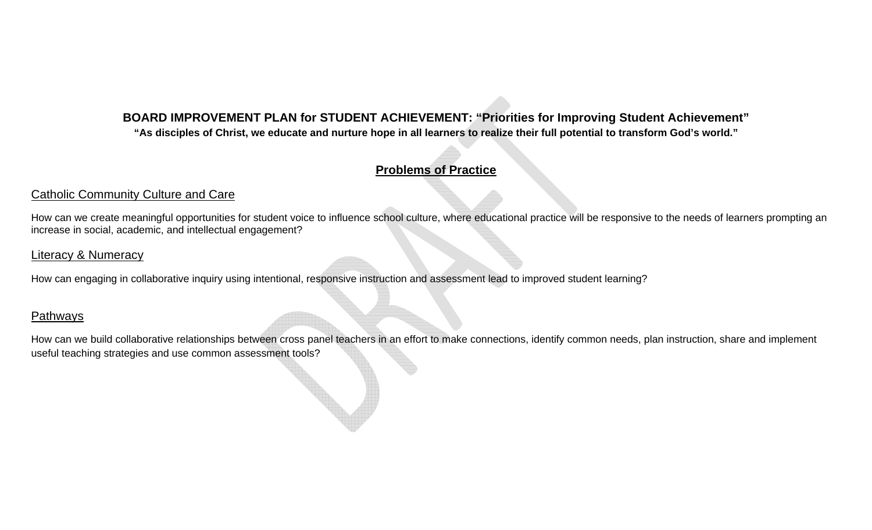# **BOARD IMPROVEMENT PLAN for STUDENT ACHIEVEMENT: "Priorities for Improving Student Achievement" "As disciples of Christ, we educate and nurture hope in all learners to realize their full potential to transform God's world."**

# **Problems of Practice**

# Catholic Community Culture and Care

How can we create meaningful opportunities for student voice to influence school culture, where educational practice will be responsive to the needs of learners prompting an increase in social, academic, and intellectual engagement?

## Literacy & Numeracy

How can engaging in collaborative inquiry using intentional, responsive instruction and assessment lead to improved student learning?

# **Pathways**

How can we build collaborative relationships between cross panel teachers in an effort to make connections, identify common needs, plan instruction, share and implement useful teaching strategies and use common assessment tools?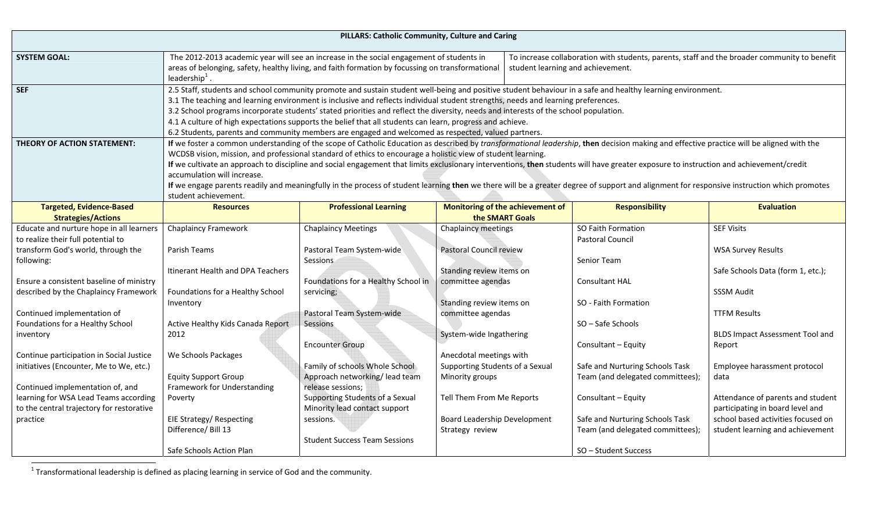|                                                                                     | PILLARS: Catholic Community, Culture and Caring |                                                                                                                                                                                                                                                                                                                                   |                                                            |  |                                  |                                        |  |
|-------------------------------------------------------------------------------------|-------------------------------------------------|-----------------------------------------------------------------------------------------------------------------------------------------------------------------------------------------------------------------------------------------------------------------------------------------------------------------------------------|------------------------------------------------------------|--|----------------------------------|----------------------------------------|--|
| <b>SYSTEM GOAL:</b>                                                                 | leadership $1$ .                                | The 2012-2013 academic year will see an increase in the social engagement of students in<br>To increase collaboration with students, parents, staff and the broader community to benefit<br>areas of belonging, safety, healthy living, and faith formation by focussing on transformational<br>student learning and achievement. |                                                            |  |                                  |                                        |  |
| <b>SEF</b>                                                                          |                                                 | 2.5 Staff, students and school community promote and sustain student well-being and positive student behaviour in a safe and healthy learning environment.                                                                                                                                                                        |                                                            |  |                                  |                                        |  |
|                                                                                     |                                                 | 3.1 The teaching and learning environment is inclusive and reflects individual student strengths, needs and learning preferences.                                                                                                                                                                                                 |                                                            |  |                                  |                                        |  |
|                                                                                     |                                                 | 3.2 School programs incorporate students' stated priorities and reflect the diversity, needs and interests of the school population.                                                                                                                                                                                              |                                                            |  |                                  |                                        |  |
|                                                                                     |                                                 | 4.1 A culture of high expectations supports the belief that all students can learn, progress and achieve.                                                                                                                                                                                                                         |                                                            |  |                                  |                                        |  |
|                                                                                     |                                                 | 6.2 Students, parents and community members are engaged and welcomed as respected, valued partners.                                                                                                                                                                                                                               |                                                            |  |                                  |                                        |  |
| THEORY OF ACTION STATEMENT:                                                         |                                                 | If we foster a common understanding of the scope of Catholic Education as described by transformational leadership, then decision making and effective practice will be aligned with the                                                                                                                                          |                                                            |  |                                  |                                        |  |
|                                                                                     |                                                 | WCDSB vision, mission, and professional standard of ethics to encourage a holistic view of student learning.                                                                                                                                                                                                                      |                                                            |  |                                  |                                        |  |
|                                                                                     |                                                 | If we cultivate an approach to discipline and social engagement that limits exclusionary interventions, then students will have greater exposure to instruction and achievement/credit                                                                                                                                            |                                                            |  |                                  |                                        |  |
|                                                                                     | accumulation will increase.                     |                                                                                                                                                                                                                                                                                                                                   |                                                            |  |                                  |                                        |  |
|                                                                                     | student achievement.                            | If we engage parents readily and meaningfully in the process of student learning then we there will be a greater degree of support and alignment for responsive instruction which promotes                                                                                                                                        |                                                            |  |                                  |                                        |  |
| <b>Targeted, Evidence-Based</b>                                                     | <b>Resources</b>                                | <b>Professional Learning</b>                                                                                                                                                                                                                                                                                                      | Monitoring of the achievement of                           |  | <b>Responsibility</b>            | <b>Evaluation</b>                      |  |
| <b>Strategies/Actions</b>                                                           |                                                 |                                                                                                                                                                                                                                                                                                                                   | the SMART Goals                                            |  |                                  |                                        |  |
| Educate and nurture hope in all learners                                            | <b>Chaplaincy Framework</b>                     | <b>Chaplaincy Meetings</b>                                                                                                                                                                                                                                                                                                        | Chaplaincy meetings                                        |  | SO Faith Formation               | <b>SEF Visits</b>                      |  |
| to realize their full potential to                                                  |                                                 |                                                                                                                                                                                                                                                                                                                                   |                                                            |  | Pastoral Council                 |                                        |  |
| transform God's world, through the                                                  | Parish Teams                                    | Pastoral Team System-wide                                                                                                                                                                                                                                                                                                         | Pastoral Council review                                    |  |                                  | <b>WSA Survey Results</b>              |  |
| following:                                                                          |                                                 | <b>Sessions</b>                                                                                                                                                                                                                                                                                                                   |                                                            |  | Senior Team                      |                                        |  |
|                                                                                     | Itinerant Health and DPA Teachers               |                                                                                                                                                                                                                                                                                                                                   | Standing review items on                                   |  |                                  | Safe Schools Data (form 1, etc.);      |  |
| Ensure a consistent baseline of ministry                                            |                                                 | Foundations for a Healthy School in                                                                                                                                                                                                                                                                                               | committee agendas                                          |  | <b>Consultant HAL</b>            |                                        |  |
| described by the Chaplaincy Framework                                               | Foundations for a Healthy School                | servicing;                                                                                                                                                                                                                                                                                                                        |                                                            |  |                                  | <b>SSSM Audit</b>                      |  |
|                                                                                     | Inventory                                       |                                                                                                                                                                                                                                                                                                                                   | Standing review items on                                   |  | SO - Faith Formation             |                                        |  |
| Continued implementation of                                                         |                                                 | Pastoral Team System-wide                                                                                                                                                                                                                                                                                                         | committee agendas                                          |  |                                  | <b>TTFM Results</b>                    |  |
| Foundations for a Healthy School                                                    | Active Healthy Kids Canada Report               | <b>Sessions</b>                                                                                                                                                                                                                                                                                                                   |                                                            |  | SO-Safe Schools                  |                                        |  |
| inventory                                                                           | 2012                                            |                                                                                                                                                                                                                                                                                                                                   | System-wide Ingathering                                    |  |                                  | <b>BLDS Impact Assessment Tool and</b> |  |
|                                                                                     |                                                 | <b>Encounter Group</b>                                                                                                                                                                                                                                                                                                            |                                                            |  | Consultant - Equity              | Report                                 |  |
| Continue participation in Social Justice<br>initiatives (Encounter, Me to We, etc.) | We Schools Packages                             | Family of schools Whole School                                                                                                                                                                                                                                                                                                    | Anecdotal meetings with<br>Supporting Students of a Sexual |  | Safe and Nurturing Schools Task  | Employee harassment protocol           |  |
|                                                                                     | <b>Equity Support Group</b>                     | Approach networking/lead team                                                                                                                                                                                                                                                                                                     | Minority groups                                            |  | Team (and delegated committees); | data                                   |  |
| Continued implementation of, and                                                    | Framework for Understanding                     | release sessions;                                                                                                                                                                                                                                                                                                                 |                                                            |  |                                  |                                        |  |
| learning for WSA Lead Teams according                                               | Poverty                                         | Supporting Students of a Sexual                                                                                                                                                                                                                                                                                                   | Tell Them From Me Reports                                  |  | Consultant - Equity              | Attendance of parents and student      |  |
| to the central trajectory for restorative                                           |                                                 | Minority lead contact support                                                                                                                                                                                                                                                                                                     |                                                            |  |                                  | participating in board level and       |  |
| practice                                                                            | EIE Strategy/Respecting                         | sessions.                                                                                                                                                                                                                                                                                                                         | Board Leadership Development                               |  | Safe and Nurturing Schools Task  | school based activities focused on     |  |
|                                                                                     | Difference/ Bill 13                             |                                                                                                                                                                                                                                                                                                                                   | Strategy review                                            |  | Team (and delegated committees); | student learning and achievement       |  |
|                                                                                     |                                                 | <b>Student Success Team Sessions</b>                                                                                                                                                                                                                                                                                              |                                                            |  |                                  |                                        |  |
|                                                                                     | Safe Schools Action Plan                        |                                                                                                                                                                                                                                                                                                                                   |                                                            |  | SO-Student Success               |                                        |  |

 $^{1}$  Transformational leadership is defined as placing learning in service of God and the community.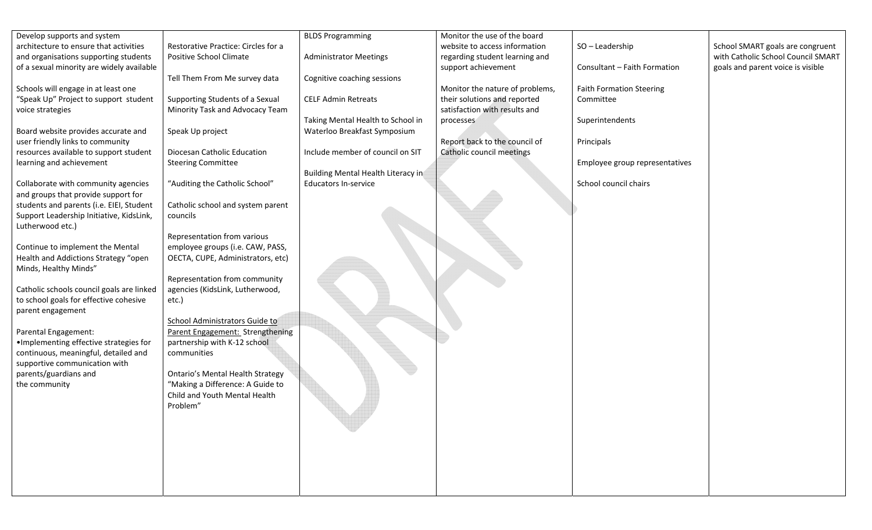| Develop supports and system               |                                         | <b>BLDS Programming</b>            | Monitor the use of the board    |                                 |                                    |
|-------------------------------------------|-----------------------------------------|------------------------------------|---------------------------------|---------------------------------|------------------------------------|
| architecture to ensure that activities    | Restorative Practice: Circles for a     |                                    | website to access information   | SO-Leadership                   | School SMART goals are congruent   |
| and organisations supporting students     | Positive School Climate                 | <b>Administrator Meetings</b>      | regarding student learning and  |                                 | with Catholic School Council SMART |
| of a sexual minority are widely available |                                         |                                    | support achievement             | Consultant - Faith Formation    | goals and parent voice is visible  |
|                                           | Tell Them From Me survey data           | Cognitive coaching sessions        |                                 |                                 |                                    |
| Schools will engage in at least one       |                                         |                                    | Monitor the nature of problems, | <b>Faith Formation Steering</b> |                                    |
| "Speak Up" Project to support student     | Supporting Students of a Sexual         | <b>CELF Admin Retreats</b>         | their solutions and reported    | Committee                       |                                    |
| voice strategies                          | Minority Task and Advocacy Team         |                                    | satisfaction with results and   |                                 |                                    |
|                                           |                                         | Taking Mental Health to School in  | processes                       | Superintendents                 |                                    |
| Board website provides accurate and       | Speak Up project                        | Waterloo Breakfast Symposium       |                                 |                                 |                                    |
| user friendly links to community          |                                         |                                    | Report back to the council of   | Principals                      |                                    |
| resources available to support student    | Diocesan Catholic Education             | Include member of council on SIT   | Catholic council meetings       |                                 |                                    |
| learning and achievement                  | <b>Steering Committee</b>               |                                    |                                 | Employee group representatives  |                                    |
|                                           |                                         | Building Mental Health Literacy in |                                 |                                 |                                    |
| Collaborate with community agencies       | "Auditing the Catholic School"          | <b>Educators In-service</b>        |                                 | School council chairs           |                                    |
| and groups that provide support for       |                                         |                                    |                                 |                                 |                                    |
| students and parents (i.e. EIEI, Student  | Catholic school and system parent       |                                    |                                 |                                 |                                    |
| Support Leadership Initiative, KidsLink,  | councils                                |                                    |                                 |                                 |                                    |
| Lutherwood etc.)                          |                                         |                                    |                                 |                                 |                                    |
|                                           | Representation from various             |                                    |                                 |                                 |                                    |
| Continue to implement the Mental          | employee groups (i.e. CAW, PASS,        |                                    |                                 |                                 |                                    |
| Health and Addictions Strategy "open      | OECTA, CUPE, Administrators, etc)       |                                    |                                 |                                 |                                    |
| Minds, Healthy Minds"                     |                                         |                                    |                                 |                                 |                                    |
|                                           | Representation from community           |                                    |                                 |                                 |                                    |
| Catholic schools council goals are linked | agencies (KidsLink, Lutherwood,         |                                    |                                 |                                 |                                    |
| to school goals for effective cohesive    | etc.)                                   |                                    |                                 |                                 |                                    |
| parent engagement                         | School Administrators Guide to          |                                    |                                 |                                 |                                    |
| Parental Engagement:                      | Parent Engagement: Strengthening        |                                    |                                 |                                 |                                    |
| . Implementing effective strategies for   | partnership with K-12 school            |                                    |                                 |                                 |                                    |
| continuous, meaningful, detailed and      | communities                             |                                    |                                 |                                 |                                    |
| supportive communication with             |                                         |                                    |                                 |                                 |                                    |
| parents/guardians and                     | <b>Ontario's Mental Health Strategy</b> |                                    |                                 |                                 |                                    |
| the community                             | "Making a Difference: A Guide to        |                                    |                                 |                                 |                                    |
|                                           | Child and Youth Mental Health           |                                    |                                 |                                 |                                    |
|                                           | Problem"                                |                                    |                                 |                                 |                                    |
|                                           |                                         |                                    |                                 |                                 |                                    |
|                                           |                                         |                                    |                                 |                                 |                                    |
|                                           |                                         |                                    |                                 |                                 |                                    |
|                                           |                                         |                                    |                                 |                                 |                                    |
|                                           |                                         |                                    |                                 |                                 |                                    |
|                                           |                                         |                                    |                                 |                                 |                                    |
|                                           |                                         |                                    |                                 |                                 |                                    |
|                                           |                                         |                                    |                                 |                                 |                                    |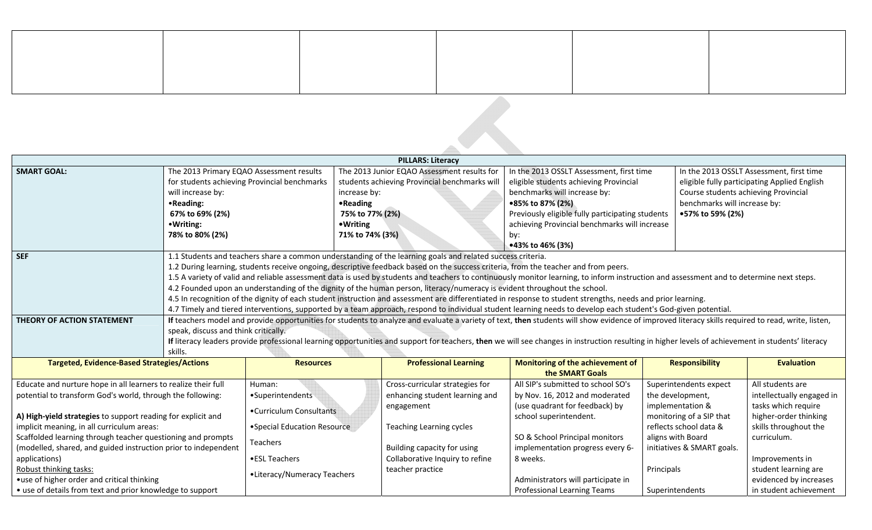|                                                                |                                          |                                              |                 | <b>PILLARS: Literacy</b>                                                                                                            |                                                                                                                                                                                                   |                                                                                          |                                      |
|----------------------------------------------------------------|------------------------------------------|----------------------------------------------|-----------------|-------------------------------------------------------------------------------------------------------------------------------------|---------------------------------------------------------------------------------------------------------------------------------------------------------------------------------------------------|------------------------------------------------------------------------------------------|--------------------------------------|
| <b>SMART GOAL:</b>                                             | The 2013 Primary EQAO Assessment results | for students achieving Provincial benchmarks |                 | The 2013 Junior EQAO Assessment results for<br>students achieving Provincial benchmarks will                                        | In the 2013 OSSLT Assessment, first time                                                                                                                                                          | In the 2013 OSSLT Assessment, first time<br>eligible fully participating Applied English |                                      |
|                                                                | will increase by:                        |                                              | increase by:    |                                                                                                                                     | eligible students achieving Provincial<br>benchmarks will increase by:                                                                                                                            |                                                                                          | Course students achieving Provincial |
|                                                                | •Reading:                                |                                              | •Reading        |                                                                                                                                     | •85% to 87% (2%)                                                                                                                                                                                  | benchmarks will increase by:                                                             |                                      |
|                                                                | 67% to 69% (2%)                          |                                              | 75% to 77% (2%) |                                                                                                                                     | Previously eligible fully participating students                                                                                                                                                  | •57% to 59% (2%)                                                                         |                                      |
|                                                                | • Writing:                               |                                              | • Writing       |                                                                                                                                     | achieving Provincial benchmarks will increase                                                                                                                                                     |                                                                                          |                                      |
|                                                                | 78% to 80% (2%)                          |                                              | 71% to 74% (3%) |                                                                                                                                     | by:                                                                                                                                                                                               |                                                                                          |                                      |
|                                                                |                                          |                                              |                 |                                                                                                                                     | •43% to 46% (3%)                                                                                                                                                                                  |                                                                                          |                                      |
| <b>SEF</b>                                                     |                                          |                                              |                 | 1.1 Students and teachers share a common understanding of the learning goals and related success criteria.                          |                                                                                                                                                                                                   |                                                                                          |                                      |
|                                                                |                                          |                                              |                 | 1.2 During learning, students receive ongoing, descriptive feedback based on the success criteria, from the teacher and from peers. |                                                                                                                                                                                                   |                                                                                          |                                      |
|                                                                |                                          |                                              |                 |                                                                                                                                     | 1.5 A variety of valid and reliable assessment data is used by students and teachers to continuously monitor learning, to inform instruction and assessment and to determine next steps.          |                                                                                          |                                      |
|                                                                |                                          |                                              |                 | 4.2 Founded upon an understanding of the dignity of the human person, literacy/numeracy is evident throughout the school.           |                                                                                                                                                                                                   |                                                                                          |                                      |
|                                                                |                                          |                                              |                 |                                                                                                                                     | 4.5 In recognition of the dignity of each student instruction and assessment are differentiated in response to student strengths, needs and prior learning.                                       |                                                                                          |                                      |
|                                                                |                                          |                                              |                 |                                                                                                                                     | 4.7 Timely and tiered interventions, supported by a team approach, respond to individual student learning needs to develop each student's God-given potential.                                    |                                                                                          |                                      |
| THEORY OF ACTION STATEMENT                                     |                                          |                                              |                 |                                                                                                                                     | If teachers model and provide opportunities for students to analyze and evaluate a variety of text, then students will show evidence of improved literacy skills required to read, write, listen, |                                                                                          |                                      |
|                                                                | speak, discuss and think critically.     |                                              |                 |                                                                                                                                     | If literacy leaders provide professional learning opportunities and support for teachers, then we will see changes in instruction resulting in higher levels of achievement in students' literacy |                                                                                          |                                      |
|                                                                | skills.                                  |                                              |                 |                                                                                                                                     |                                                                                                                                                                                                   |                                                                                          |                                      |
| <b>Targeted, Evidence-Based Strategies/Actions</b>             |                                          | <b>Resources</b>                             |                 | <b>Professional Learning</b>                                                                                                        | Monitoring of the achievement of                                                                                                                                                                  | <b>Responsibility</b>                                                                    | <b>Evaluation</b>                    |
|                                                                |                                          |                                              |                 |                                                                                                                                     | the SMART Goals                                                                                                                                                                                   |                                                                                          |                                      |
| Educate and nurture hope in all learners to realize their full |                                          | Human:                                       |                 | Cross-curricular strategies for                                                                                                     | All SIP's submitted to school SO's                                                                                                                                                                | Superintendents expect                                                                   | All students are                     |
| potential to transform God's world, through the following:     |                                          | •Superintendents                             |                 | enhancing student learning and                                                                                                      | by Nov. 16, 2012 and moderated                                                                                                                                                                    | the development,                                                                         | intellectually engaged in            |
|                                                                |                                          | •Curriculum Consultants                      |                 | engagement                                                                                                                          | (use quadrant for feedback) by                                                                                                                                                                    | implementation &                                                                         | tasks which require                  |
| A) High-yield strategies to support reading for explicit and   |                                          |                                              |                 |                                                                                                                                     | school superintendent.                                                                                                                                                                            | monitoring of a SIP that                                                                 | higher-order thinking                |
| implicit meaning, in all curriculum areas:                     |                                          | . Special Education Resource                 |                 | <b>Teaching Learning cycles</b>                                                                                                     |                                                                                                                                                                                                   | reflects school data &                                                                   | skills throughout the                |
| Scaffolded learning through teacher questioning and prompts    |                                          | <b>Teachers</b>                              |                 |                                                                                                                                     | SO & School Principal monitors                                                                                                                                                                    | aligns with Board                                                                        | curriculum.                          |
| (modelled, shared, and guided instruction prior to independent |                                          |                                              |                 | Building capacity for using                                                                                                         | implementation progress every 6-                                                                                                                                                                  | initiatives & SMART goals.                                                               |                                      |
| applications)                                                  |                                          | •ESL Teachers                                |                 | Collaborative Inquiry to refine                                                                                                     | 8 weeks.                                                                                                                                                                                          |                                                                                          | Improvements in                      |
| Robust thinking tasks:                                         |                                          | •Literacy/Numeracy Teachers                  |                 | teacher practice                                                                                                                    |                                                                                                                                                                                                   | Principals                                                                               | student learning are                 |
| • use of higher order and critical thinking                    |                                          |                                              |                 |                                                                                                                                     | Administrators will participate in                                                                                                                                                                |                                                                                          | evidenced by increases               |
| • use of details from text and prior knowledge to support      |                                          |                                              |                 |                                                                                                                                     | <b>Professional Learning Teams</b>                                                                                                                                                                | Superintendents                                                                          | in student achievement               |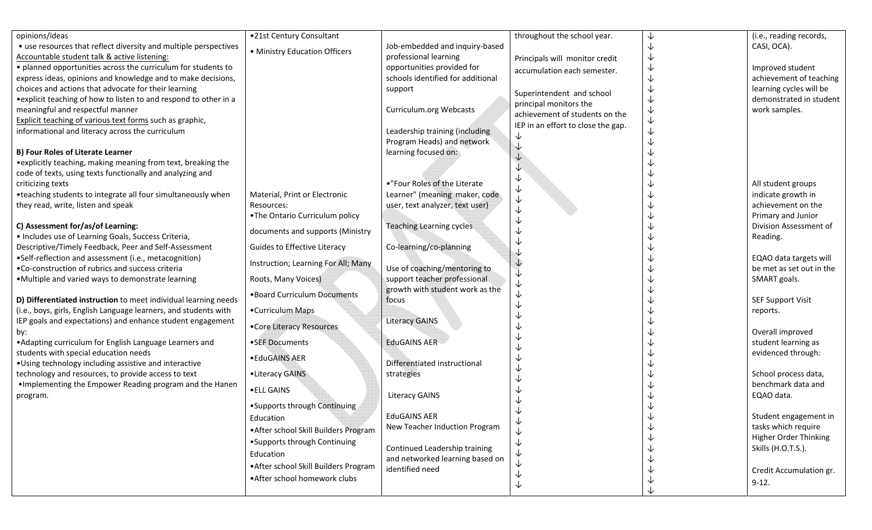| opinions/ideas                                                    | .21st Century Consultant              |                                   | throughout the school year.        | ↓ | (i.e., reading records,  |
|-------------------------------------------------------------------|---------------------------------------|-----------------------------------|------------------------------------|---|--------------------------|
| • use resources that reflect diversity and multiple perspectives  |                                       | Job-embedded and inquiry-based    |                                    | ↓ | CASI, OCA).              |
| Accountable student talk & active listening:                      | • Ministry Education Officers         | professional learning             | Principals will monitor credit     | ↓ |                          |
| • planned opportunities across the curriculum for students to     |                                       | opportunities provided for        | accumulation each semester.        | ↓ | Improved student         |
| express ideas, opinions and knowledge and to make decisions,      |                                       | schools identified for additional |                                    | ↓ | achievement of teaching  |
| choices and actions that advocate for their learning              |                                       | support                           |                                    | ↓ | learning cycles will be  |
| • explicit teaching of how to listen to and respond to other in a |                                       |                                   | Superintendent and school          | J | demonstrated in student  |
| meaningful and respectful manner                                  |                                       | Curriculum.org Webcasts           | principal monitors the             | ↓ | work samples.            |
| Explicit teaching of various text forms such as graphic,          |                                       |                                   | achievement of students on the     |   |                          |
| informational and literacy across the curriculum                  |                                       | Leadership training (including    | IEP in an effort to close the gap. |   |                          |
|                                                                   |                                       | Program Heads) and network        |                                    |   |                          |
| <b>B) Four Roles of Literate Learner</b>                          |                                       | learning focused on:              |                                    |   |                          |
| • explicitly teaching, making meaning from text, breaking the     |                                       |                                   |                                    |   |                          |
| code of texts, using texts functionally and analyzing and         |                                       |                                   |                                    |   |                          |
| criticizing texts                                                 |                                       | •"Four Roles of the Literate      |                                    |   | All student groups       |
|                                                                   |                                       |                                   |                                    |   |                          |
| •teaching students to integrate all four simultaneously when      | Material, Print or Electronic         | Learner" (meaning maker, code     |                                    |   | indicate growth in       |
| they read, write, listen and speak                                | Resources:                            | user, text analyzer, text user)   |                                    |   | achievement on the       |
|                                                                   | .The Ontario Curriculum policy        |                                   |                                    |   | Primary and Junior       |
| C) Assessment for/as/of Learning:                                 | documents and supports (Ministry      | <b>Teaching Learning cycles</b>   |                                    |   | Division Assessment of   |
| • Includes use of Learning Goals, Success Criteria,               |                                       |                                   |                                    |   | Reading.                 |
| Descriptive/Timely Feedback, Peer and Self-Assessment             | <b>Guides to Effective Literacy</b>   | Co-learning/co-planning           |                                    |   |                          |
| •Self-reflection and assessment (i.e., metacognition)             | Instruction; Learning For All; Many   |                                   |                                    |   | EQAO data targets will   |
| . Co-construction of rubrics and success criteria                 |                                       | Use of coaching/mentoring to      |                                    |   | be met as set out in the |
| . Multiple and varied ways to demonstrate learning                | Roots, Many Voices)                   | support teacher professional      |                                    |   | SMART goals.             |
|                                                                   | . Board Curriculum Documents          | growth with student work as the   |                                    |   |                          |
| D) Differentiated instruction to meet individual learning needs   |                                       | focus                             |                                    |   | <b>SEF Support Visit</b> |
| (i.e., boys, girls, English Language learners, and students with  | •Curriculum Maps                      |                                   |                                    |   | reports.                 |
| IEP goals and expectations) and enhance student engagement        | •Core Literacy Resources              | <b>Literacy GAINS</b>             |                                    |   |                          |
|                                                                   |                                       |                                   |                                    |   | Overall improved         |
| • Adapting curriculum for English Language Learners and           | •SEF Documents                        | <b>EduGAINS AER</b>               |                                    |   | student learning as      |
| students with special education needs                             |                                       |                                   |                                    |   | evidenced through:       |
| . Using technology including assistive and interactive            | · EduGAINS AER                        | Differentiated instructional      |                                    |   |                          |
| technology and resources, to provide access to text               | •Literacy GAINS                       | strategies                        |                                    |   | School process data,     |
| . Implementing the Empower Reading program and the Hanen          |                                       |                                   |                                    |   | benchmark data and       |
| program.                                                          | • ELL GAINS                           | <b>Literacy GAINS</b>             |                                    |   | EQAO data.               |
|                                                                   | •Supports through Continuing          |                                   |                                    |   |                          |
|                                                                   | Education                             | <b>EduGAINS AER</b>               |                                    | ↓ | Student engagement in    |
|                                                                   |                                       | New Teacher Induction Program     |                                    |   | tasks which require      |
|                                                                   | • After school Skill Builders Program |                                   |                                    |   | Higher Order Thinking    |
|                                                                   | •Supports through Continuing          | Continued Leadership training     |                                    |   | Skills (H.O.T.S.).       |
|                                                                   | Education                             | and networked learning based on   |                                    |   |                          |
|                                                                   | • After school Skill Builders Program | identified need                   |                                    |   | Credit Accumulation gr.  |
|                                                                   | • After school homework clubs         |                                   |                                    |   |                          |
|                                                                   |                                       |                                   |                                    |   | $9-12.$                  |
|                                                                   |                                       |                                   |                                    |   |                          |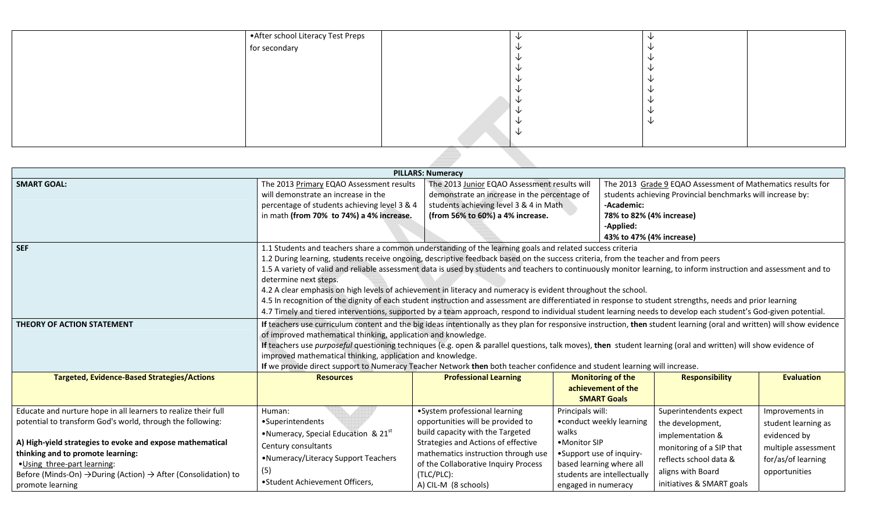| After school Literacy Test Preps |  |  |  |  |  |  |  |
|----------------------------------|--|--|--|--|--|--|--|
| for secondary                    |  |  |  |  |  |  |  |
|                                  |  |  |  |  |  |  |  |
|                                  |  |  |  |  |  |  |  |
|                                  |  |  |  |  |  |  |  |
|                                  |  |  |  |  |  |  |  |
|                                  |  |  |  |  |  |  |  |
|                                  |  |  |  |  |  |  |  |
|                                  |  |  |  |  |  |  |  |
|                                  |  |  |  |  |  |  |  |
|                                  |  |  |  |  |  |  |  |
|                                  |  |  |  |  |  |  |  |

|                                                                                                                                                                                                                                                                                                                                                                             |                                                                                                                                                                                                                                                                                                                                                                                                                                                                                                                                                                                                                                                                                                                                                                                                                                                                                                 | <b>PILLARS: Numeracy</b>                                                                                                                                                                                                                                            |                                                                                                                                                                                      |                                                                                                                                                                        |                                                                                                                      |  |
|-----------------------------------------------------------------------------------------------------------------------------------------------------------------------------------------------------------------------------------------------------------------------------------------------------------------------------------------------------------------------------|-------------------------------------------------------------------------------------------------------------------------------------------------------------------------------------------------------------------------------------------------------------------------------------------------------------------------------------------------------------------------------------------------------------------------------------------------------------------------------------------------------------------------------------------------------------------------------------------------------------------------------------------------------------------------------------------------------------------------------------------------------------------------------------------------------------------------------------------------------------------------------------------------|---------------------------------------------------------------------------------------------------------------------------------------------------------------------------------------------------------------------------------------------------------------------|--------------------------------------------------------------------------------------------------------------------------------------------------------------------------------------|------------------------------------------------------------------------------------------------------------------------------------------------------------------------|----------------------------------------------------------------------------------------------------------------------|--|
| <b>SMART GOAL:</b>                                                                                                                                                                                                                                                                                                                                                          | The 2013 Primary EQAO Assessment results<br>will demonstrate an increase in the<br>percentage of students achieving level 3 & 4<br>in math (from 70% to 74%) a 4% increase.                                                                                                                                                                                                                                                                                                                                                                                                                                                                                                                                                                                                                                                                                                                     | The 2013 Junior EQAO Assessment results will<br>demonstrate an increase in the percentage of<br>students achieving level 3 & 4 in Math<br>(from 56% to 60%) a 4% increase.                                                                                          | -Academic:<br>78% to 82% (4% increase)<br>-Applied:<br>43% to 47% (4% increase)                                                                                                      | The 2013 Grade 9 EQAO Assessment of Mathematics results for<br>students achieving Provincial benchmarks will increase by:                                              |                                                                                                                      |  |
| <b>SEF</b><br><b>THEORY OF ACTION STATEMENT</b>                                                                                                                                                                                                                                                                                                                             | 1.1 Students and teachers share a common understanding of the learning goals and related success criteria<br>1.2 During learning, students receive ongoing, descriptive feedback based on the success criteria, from the teacher and from peers<br>1.5 A variety of valid and reliable assessment data is used by students and teachers to continuously monitor learning, to inform instruction and assessment and to<br>determine next steps.<br>4.2 A clear emphasis on high levels of achievement in literacy and numeracy is evident throughout the school.<br>4.5 In recognition of the dignity of each student instruction and assessment are differentiated in response to student strengths, needs and prior learning<br>4.7 Timely and tiered interventions, supported by a team approach, respond to individual student learning needs to develop each student's God-given potential. |                                                                                                                                                                                                                                                                     |                                                                                                                                                                                      |                                                                                                                                                                        |                                                                                                                      |  |
| <b>Targeted, Evidence-Based Strategies/Actions</b>                                                                                                                                                                                                                                                                                                                          | If teachers use curriculum content and the big ideas intentionally as they plan for responsive instruction, then student learning (oral and written) will show evidence<br>of improved mathematical thinking, application and knowledge.<br>If teachers use purposeful questioning techniques (e.g. open & parallel questions, talk moves), then student learning (oral and written) will show evidence of<br>improved mathematical thinking, application and knowledge.<br>If we provide direct support to Numeracy Teacher Network then both teacher confidence and student learning will increase.<br><b>Resources</b>                                                                                                                                                                                                                                                                       | <b>Professional Learning</b>                                                                                                                                                                                                                                        | <b>Monitoring of the</b><br>achievement of the                                                                                                                                       | <b>Responsibility</b>                                                                                                                                                  | <b>Evaluation</b>                                                                                                    |  |
|                                                                                                                                                                                                                                                                                                                                                                             |                                                                                                                                                                                                                                                                                                                                                                                                                                                                                                                                                                                                                                                                                                                                                                                                                                                                                                 |                                                                                                                                                                                                                                                                     | <b>SMART Goals</b>                                                                                                                                                                   |                                                                                                                                                                        |                                                                                                                      |  |
| Educate and nurture hope in all learners to realize their full<br>potential to transform God's world, through the following:<br>A) High-yield strategies to evoke and expose mathematical<br>thinking and to promote learning:<br>.Using three-part learning:<br>Before (Minds-On) $\rightarrow$ During (Action) $\rightarrow$ After (Consolidation) to<br>promote learning | Human:<br>•Superintendents<br>•Numeracy, Special Education & 21 <sup>st</sup><br>Century consultants<br>•Numeracy/Literacy Support Teachers<br>(5)<br>• Student Achievement Officers,                                                                                                                                                                                                                                                                                                                                                                                                                                                                                                                                                                                                                                                                                                           | • System professional learning<br>opportunities will be provided to<br>build capacity with the Targeted<br>Strategies and Actions of effective<br>mathematics instruction through use<br>of the Collaborative Inquiry Process<br>(TLC/PLC):<br>A) CIL-M (8 schools) | Principals will:<br>• conduct weekly learning<br>walks<br>•Monitor SIP<br>•Support use of inquiry-<br>based learning where all<br>students are intellectually<br>engaged in numeracy | Superintendents expect<br>the development,<br>implementation &<br>monitoring of a SIP that<br>reflects school data &<br>aligns with Board<br>initiatives & SMART goals | Improvements in<br>student learning as<br>evidenced by<br>multiple assessment<br>for/as/of learning<br>opportunities |  |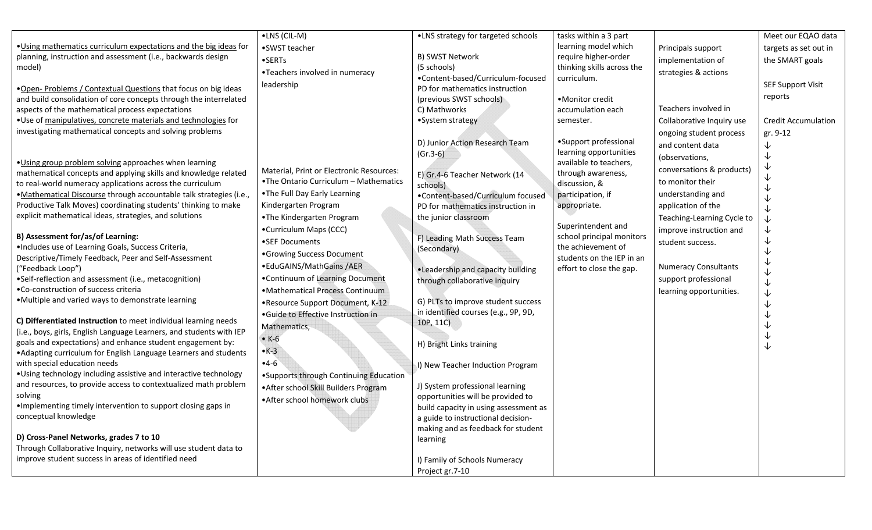|                                                                      | •LNS (CIL-M)                             | .LNS strategy for targeted schools    | tasks within a 3 part      |                             | Meet our EQAO data         |
|----------------------------------------------------------------------|------------------------------------------|---------------------------------------|----------------------------|-----------------------------|----------------------------|
| . Using mathematics curriculum expectations and the big ideas for    | •SWST teacher                            |                                       | learning model which       |                             |                            |
| planning, instruction and assessment (i.e., backwards design         |                                          | B) SWST Network                       | require higher-order       | Principals support          | targets as set out in      |
| model)                                                               | $\bullet$ SERTs                          | (5 schools)                           | thinking skills across the | implementation of           | the SMART goals            |
|                                                                      | •Teachers involved in numeracy           | •Content-based/Curriculum-focused     | curriculum.                | strategies & actions        |                            |
| . Open- Problems / Contextual Questions that focus on big ideas      | leadership                               | PD for mathematics instruction        |                            |                             | <b>SEF Support Visit</b>   |
| and build consolidation of core concepts through the interrelated    |                                          | (previous SWST schools)               | •Monitor credit            |                             | reports                    |
| aspects of the mathematical process expectations                     |                                          | C) Mathworks                          | accumulation each          | Teachers involved in        |                            |
|                                                                      |                                          |                                       |                            |                             |                            |
| .Use of manipulatives, concrete materials and technologies for       |                                          | •System strategy                      | semester.                  | Collaborative Inquiry use   | <b>Credit Accumulation</b> |
| investigating mathematical concepts and solving problems             |                                          |                                       |                            | ongoing student process     | gr. 9-12                   |
|                                                                      |                                          | D) Junior Action Research Team        | •Support professional      | and content data            | ↓                          |
|                                                                      |                                          | $(Gr.3-6)$                            | learning opportunities     | (observations,              | ↓                          |
| . Using group problem solving approaches when learning               | Material, Print or Electronic Resources: |                                       | available to teachers,     | conversations & products)   | ↓                          |
| mathematical concepts and applying skills and knowledge related      | .The Ontario Curriculum - Mathematics    | E) Gr.4-6 Teacher Network (14         | through awareness,         | to monitor their            | ↓                          |
| to real-world numeracy applications across the curriculum            |                                          | schools)                              | discussion, &              |                             | ↓                          |
| .Mathematical Discourse through accountable talk strategies (i.e.,   | . The Full Day Early Learning            | •Content-based/Curriculum focused     | participation, if          | understanding and           | ↓                          |
| Productive Talk Moves) coordinating students' thinking to make       | Kindergarten Program                     | PD for mathematics instruction in     | appropriate.               | application of the          | ↓                          |
| explicit mathematical ideas, strategies, and solutions               | •The Kindergarten Program                | the junior classroom                  |                            | Teaching-Learning Cycle to  | ↓                          |
|                                                                      | •Curriculum Maps (CCC)                   |                                       | Superintendent and         | improve instruction and     | ↓                          |
| B) Assessment for/as/of Learning:                                    | •SEF Documents                           | F) Leading Math Success Team          | school principal monitors  | student success.            | ↓                          |
| ·Includes use of Learning Goals, Success Criteria,                   | •Growing Success Document                | (Secondary)                           | the achievement of         |                             | ↓                          |
| Descriptive/Timely Feedback, Peer and Self-Assessment                | • EduGAINS/MathGains / AER               |                                       | students on the IEP in an  | <b>Numeracy Consultants</b> | ↓                          |
| ("Feedback Loop")                                                    |                                          | . Leadership and capacity building    | effort to close the gap.   |                             | ↓                          |
| •Self-reflection and assessment (i.e., metacognition)                | •Continuum of Learning Document          | through collaborative inquiry         |                            | support professional        | ↓                          |
| .Co-construction of success criteria                                 | •Mathematical Process Continuum          |                                       |                            | learning opportunities.     | $\downarrow$               |
| .Multiple and varied ways to demonstrate learning                    | •Resource Support Document, K-12         | G) PLTs to improve student success    |                            |                             | ↓                          |
|                                                                      | •Guide to Effective Instruction in       | in identified courses (e.g., 9P, 9D,  |                            |                             | $\downarrow$               |
| C) Differentiated Instruction to meet individual learning needs      | Mathematics,                             | 10P, 11C)                             |                            |                             | $\downarrow$               |
| (i.e., boys, girls, English Language Learners, and students with IEP | $\bullet$ K-6                            |                                       |                            |                             | $\downarrow$               |
| goals and expectations) and enhance student engagement by:           | $\bullet$ K-3                            | H) Bright Links training              |                            |                             | ↓                          |
| • Adapting curriculum for English Language Learners and students     |                                          |                                       |                            |                             |                            |
| with special education needs                                         | $•4-6$                                   | I) New Teacher Induction Program      |                            |                             |                            |
| . Using technology including assistive and interactive technology    | •Supports through Continuing Education   |                                       |                            |                             |                            |
| and resources, to provide access to contextualized math problem      | • After school Skill Builders Program    | J) System professional learning       |                            |                             |                            |
| solving                                                              | . After school homework clubs            | opportunities will be provided to     |                            |                             |                            |
| . Implementing timely intervention to support closing gaps in        |                                          | build capacity in using assessment as |                            |                             |                            |
| conceptual knowledge                                                 |                                          | a guide to instructional decision-    |                            |                             |                            |
|                                                                      |                                          | making and as feedback for student    |                            |                             |                            |
| D) Cross-Panel Networks, grades 7 to 10                              |                                          | learning                              |                            |                             |                            |
| Through Collaborative Inquiry, networks will use student data to     |                                          |                                       |                            |                             |                            |
| improve student success in areas of identified need                  |                                          | I) Family of Schools Numeracy         |                            |                             |                            |
|                                                                      |                                          | Project gr.7-10                       |                            |                             |                            |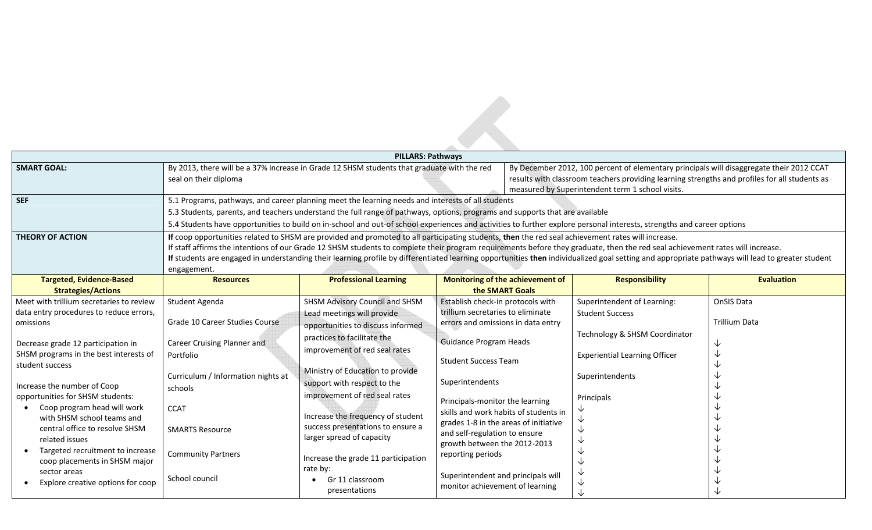|                                                                   |                                                                                                                                                                                                                                                                                                                                                                                                                                                                                                                                                      | <b>PILLARS: Pathways</b>                                                                                                     |                                       |                                                                                                                                                                                                                                               |                      |  |
|-------------------------------------------------------------------|------------------------------------------------------------------------------------------------------------------------------------------------------------------------------------------------------------------------------------------------------------------------------------------------------------------------------------------------------------------------------------------------------------------------------------------------------------------------------------------------------------------------------------------------------|------------------------------------------------------------------------------------------------------------------------------|---------------------------------------|-----------------------------------------------------------------------------------------------------------------------------------------------------------------------------------------------------------------------------------------------|----------------------|--|
| <b>SMART GOAL:</b>                                                | seal on their diploma                                                                                                                                                                                                                                                                                                                                                                                                                                                                                                                                | By 2013, there will be a 37% increase in Grade 12 SHSM students that graduate with the red                                   |                                       | By December 2012, 100 percent of elementary principals will disaggregate their 2012 CCAT<br>results with classroom teachers providing learning strengths and profiles for all students as<br>measured by Superintendent term 1 school visits. |                      |  |
| <b>SEF</b>                                                        |                                                                                                                                                                                                                                                                                                                                                                                                                                                                                                                                                      | 5.1 Programs, pathways, and career planning meet the learning needs and interests of all students                            |                                       |                                                                                                                                                                                                                                               |                      |  |
|                                                                   |                                                                                                                                                                                                                                                                                                                                                                                                                                                                                                                                                      | 5.3 Students, parents, and teachers understand the full range of pathways, options, programs and supports that are available |                                       |                                                                                                                                                                                                                                               |                      |  |
|                                                                   |                                                                                                                                                                                                                                                                                                                                                                                                                                                                                                                                                      |                                                                                                                              |                                       | 5.4 Students have opportunities to build on in-school and out-of school experiences and activities to further explore personal interests, strengths and career options                                                                        |                      |  |
| <b>THEORY OF ACTION</b>                                           | If coop opportunities related to SHSM are provided and promoted to all participating students, then the red seal achievement rates will increase.<br>If staff affirms the intentions of our Grade 12 SHSM students to complete their program requirements before they graduate, then the red seal achievement rates will increase.<br>If students are engaged in understanding their learning profile by differentiated learning opportunities then individualized goal setting and appropriate pathways will lead to greater student<br>engagement. |                                                                                                                              |                                       |                                                                                                                                                                                                                                               |                      |  |
| <b>Targeted, Evidence-Based</b>                                   | <b>Resources</b>                                                                                                                                                                                                                                                                                                                                                                                                                                                                                                                                     | <b>Professional Learning</b>                                                                                                 | Monitoring of the achievement of      | <b>Responsibility</b>                                                                                                                                                                                                                         | <b>Evaluation</b>    |  |
| <b>Strategies/Actions</b>                                         |                                                                                                                                                                                                                                                                                                                                                                                                                                                                                                                                                      |                                                                                                                              | the SMART Goals                       |                                                                                                                                                                                                                                               |                      |  |
| Meet with trillium secretaries to review                          | Student Agenda                                                                                                                                                                                                                                                                                                                                                                                                                                                                                                                                       | <b>SHSM Advisory Council and SHSM</b>                                                                                        | Establish check-in protocols with     | Superintendent of Learning:                                                                                                                                                                                                                   | OnSIS Data           |  |
| data entry procedures to reduce errors,                           |                                                                                                                                                                                                                                                                                                                                                                                                                                                                                                                                                      | Lead meetings will provide                                                                                                   | trillium secretaries to eliminate     | <b>Student Success</b>                                                                                                                                                                                                                        |                      |  |
| omissions                                                         | Grade 10 Career Studies Course                                                                                                                                                                                                                                                                                                                                                                                                                                                                                                                       | opportunities to discuss informed                                                                                            | errors and omissions in data entry    |                                                                                                                                                                                                                                               | <b>Trillium Data</b> |  |
| Decrease grade 12 participation in                                | Career Cruising Planner and                                                                                                                                                                                                                                                                                                                                                                                                                                                                                                                          | practices to facilitate the                                                                                                  | Guidance Program Heads                | Technology & SHSM Coordinator                                                                                                                                                                                                                 | ↓                    |  |
| SHSM programs in the best interests of                            | Portfolio                                                                                                                                                                                                                                                                                                                                                                                                                                                                                                                                            | improvement of red seal rates                                                                                                |                                       | <b>Experiential Learning Officer</b>                                                                                                                                                                                                          | ↓                    |  |
| student success                                                   |                                                                                                                                                                                                                                                                                                                                                                                                                                                                                                                                                      |                                                                                                                              | <b>Student Success Team</b>           |                                                                                                                                                                                                                                               |                      |  |
|                                                                   | Curriculum / Information nights at                                                                                                                                                                                                                                                                                                                                                                                                                                                                                                                   | Ministry of Education to provide                                                                                             |                                       | Superintendents                                                                                                                                                                                                                               |                      |  |
| Increase the number of Coop                                       | schools                                                                                                                                                                                                                                                                                                                                                                                                                                                                                                                                              | support with respect to the                                                                                                  | Superintendents                       |                                                                                                                                                                                                                                               |                      |  |
| opportunities for SHSM students:                                  |                                                                                                                                                                                                                                                                                                                                                                                                                                                                                                                                                      | improvement of red seal rates                                                                                                | Principals-monitor the learning       | Principals                                                                                                                                                                                                                                    |                      |  |
| Coop program head will work                                       | <b>CCAT</b>                                                                                                                                                                                                                                                                                                                                                                                                                                                                                                                                          |                                                                                                                              | skills and work habits of students in |                                                                                                                                                                                                                                               |                      |  |
| with SHSM school teams and                                        |                                                                                                                                                                                                                                                                                                                                                                                                                                                                                                                                                      | Increase the frequency of student<br>success presentations to ensure a                                                       | grades 1-8 in the areas of initiative | V                                                                                                                                                                                                                                             |                      |  |
| central office to resolve SHSM                                    | <b>SMARTS Resource</b>                                                                                                                                                                                                                                                                                                                                                                                                                                                                                                                               | larger spread of capacity                                                                                                    | and self-regulation to ensure         | ↓                                                                                                                                                                                                                                             |                      |  |
| related issues                                                    |                                                                                                                                                                                                                                                                                                                                                                                                                                                                                                                                                      |                                                                                                                              | growth between the 2012-2013          | V                                                                                                                                                                                                                                             |                      |  |
| Targeted recruitment to increase<br>coop placements in SHSM major | <b>Community Partners</b>                                                                                                                                                                                                                                                                                                                                                                                                                                                                                                                            | Increase the grade 11 participation                                                                                          | reporting periods                     |                                                                                                                                                                                                                                               |                      |  |
| sector areas                                                      |                                                                                                                                                                                                                                                                                                                                                                                                                                                                                                                                                      | rate by:                                                                                                                     |                                       |                                                                                                                                                                                                                                               |                      |  |
| Explore creative options for coop                                 | School council                                                                                                                                                                                                                                                                                                                                                                                                                                                                                                                                       | Gr 11 classroom                                                                                                              | Superintendent and principals will    |                                                                                                                                                                                                                                               |                      |  |
|                                                                   |                                                                                                                                                                                                                                                                                                                                                                                                                                                                                                                                                      | presentations                                                                                                                | monitor achievement of learning       |                                                                                                                                                                                                                                               |                      |  |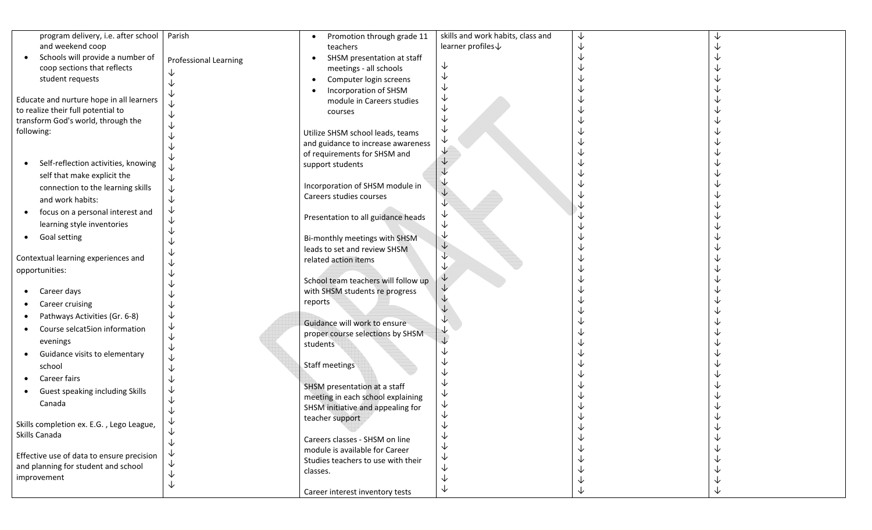| program delivery, i.e. after school       | Parish                       | Promotion through grade 11          | skills and work habits, class and | ↓ |  |
|-------------------------------------------|------------------------------|-------------------------------------|-----------------------------------|---|--|
| and weekend coop                          |                              | teachers                            | learner profiles $\downarrow$     |   |  |
| Schools will provide a number of          | <b>Professional Learning</b> | SHSM presentation at staff          |                                   |   |  |
| coop sections that reflects               |                              | meetings - all schools              | ↓                                 |   |  |
| student requests                          |                              | Computer login screens              |                                   |   |  |
|                                           |                              | Incorporation of SHSM               | ∿                                 |   |  |
| Educate and nurture hope in all learners  |                              | module in Careers studies           |                                   |   |  |
| to realize their full potential to        |                              | courses                             |                                   |   |  |
| transform God's world, through the        |                              |                                     |                                   |   |  |
| following:                                |                              | Utilize SHSM school leads, teams    |                                   |   |  |
|                                           |                              | and guidance to increase awareness  |                                   |   |  |
|                                           |                              | of requirements for SHSM and        |                                   |   |  |
| Self-reflection activities, knowing       |                              | support students                    |                                   |   |  |
| self that make explicit the               |                              |                                     |                                   |   |  |
| connection to the learning skills         | ↓                            | Incorporation of SHSM module in     |                                   |   |  |
| and work habits:                          | ↓                            | Careers studies courses             |                                   |   |  |
|                                           | ↓                            |                                     | √                                 |   |  |
| focus on a personal interest and          | ↓                            | Presentation to all guidance heads  | V                                 |   |  |
| learning style inventories                |                              |                                     |                                   |   |  |
| • Goal setting                            |                              | Bi-monthly meetings with SHSM       | 业                                 |   |  |
|                                           | ↓                            | leads to set and review SHSM        | $\downarrow$                      |   |  |
| Contextual learning experiences and       | ↓                            | related action items                | V                                 |   |  |
| opportunities:                            |                              |                                     | ∿                                 |   |  |
|                                           |                              | School team teachers will follow up |                                   |   |  |
| Career days                               |                              | with SHSM students re progress      |                                   |   |  |
| <b>Career cruising</b>                    |                              | reports                             |                                   |   |  |
| Pathways Activities (Gr. 6-8)             |                              |                                     |                                   |   |  |
| Course selcat5ion information             | ◡                            | Guidance will work to ensure        | V                                 |   |  |
|                                           | ↓                            | proper course selections by SHSM    | ╰                                 |   |  |
| evenings                                  |                              | students                            |                                   |   |  |
| Guidance visits to elementary             | ↓                            |                                     | ↘                                 |   |  |
| school                                    | ◡                            | <b>Staff meetings</b>               | ◡                                 |   |  |
| Career fairs                              |                              |                                     | ∿                                 |   |  |
| Guest speaking including Skills           | ↓                            | SHSM presentation at a staff        |                                   |   |  |
| Canada                                    |                              | meeting in each school explaining   |                                   |   |  |
|                                           |                              | SHSM initiative and appealing for   |                                   |   |  |
| Skills completion ex. E.G., Lego League,  |                              | teacher support                     | ↓                                 |   |  |
| Skills Canada                             |                              | Careers classes - SHSM on line      | ↓                                 |   |  |
|                                           | ↓                            | module is available for Career      | ↓                                 |   |  |
| Effective use of data to ensure precision |                              | Studies teachers to use with their  | ╰                                 |   |  |
| and planning for student and school       |                              | classes.                            | ╰                                 |   |  |
| improvement                               | ↓                            |                                     | V                                 |   |  |
|                                           | ↓                            | Career interest inventory tests     | ↓                                 |   |  |
|                                           |                              |                                     |                                   |   |  |